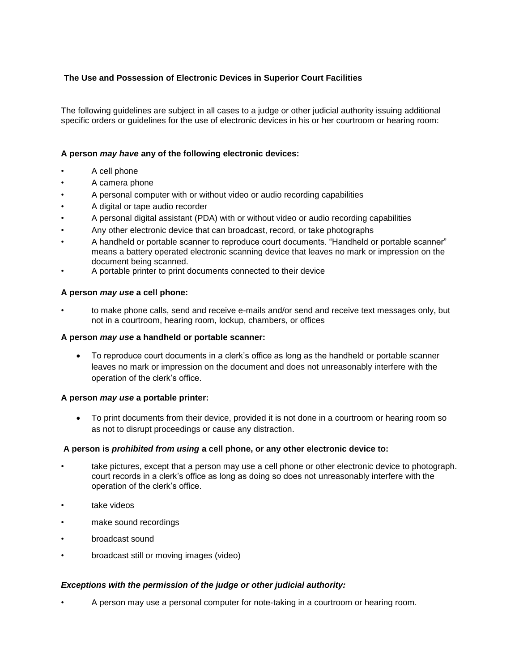# **The Use and Possession of Electronic Devices in Superior Court Facilities**

The following guidelines are subject in all cases to a judge or other judicial authority issuing additional specific orders or guidelines for the use of electronic devices in his or her courtroom or hearing room:

# **A person** *may have* **any of the following electronic devices:**

- A cell phone
- A camera phone
- A personal computer with or without video or audio recording capabilities
- A digital or tape audio recorder
- A personal digital assistant (PDA) with or without video or audio recording capabilities
- Any other electronic device that can broadcast, record, or take photographs
- A handheld or portable scanner to reproduce court documents. "Handheld or portable scanner" means a battery operated electronic scanning device that leaves no mark or impression on the document being scanned.
- A portable printer to print documents connected to their device

#### **A person** *may use* **a cell phone:**

• to make phone calls, send and receive e-mails and/or send and receive text messages only, but not in a courtroom, hearing room, lockup, chambers, or offices

#### **A person** *may use* **a handheld or portable scanner:**

 To reproduce court documents in a clerk's office as long as the handheld or portable scanner leaves no mark or impression on the document and does not unreasonably interfere with the operation of the clerk's office.

#### **A person** *may use* **a portable printer:**

 To print documents from their device, provided it is not done in a courtroom or hearing room so as not to disrupt proceedings or cause any distraction.

#### **A person is** *prohibited from using* **a cell phone, or any other electronic device to:**

- take pictures, except that a person may use a cell phone or other electronic device to photograph. court records in a clerk's office as long as doing so does not unreasonably interfere with the operation of the clerk's office.
- take videos
- make sound recordings
- broadcast sound
- broadcast still or moving images (video)

#### *Exceptions with the permission of the judge or other judicial authority:*

• A person may use a personal computer for note-taking in a courtroom or hearing room.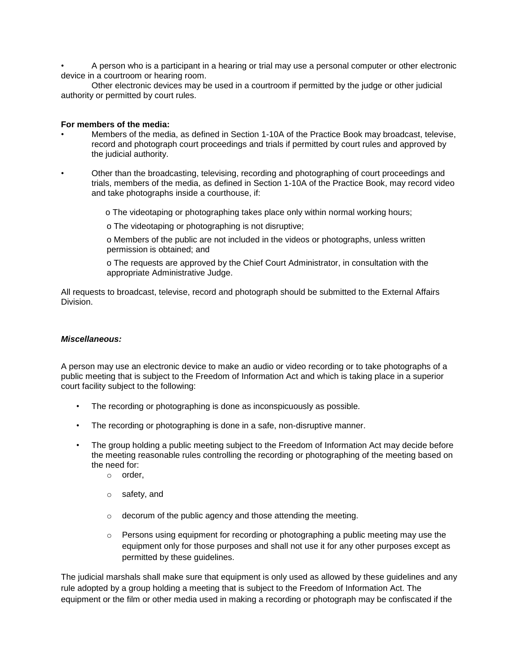• A person who is a participant in a hearing or trial may use a personal computer or other electronic device in a courtroom or hearing room.

Other electronic devices may be used in a courtroom if permitted by the judge or other judicial authority or permitted by court rules.

#### **For members of the media:**

- Members of the media, as defined in Section 1-10A of the Practice Book may broadcast, televise, record and photograph court proceedings and trials if permitted by court rules and approved by the judicial authority.
- Other than the broadcasting, televising, recording and photographing of court proceedings and trials, members of the media, as defined in Section 1-10A of the Practice Book, may record video and take photographs inside a courthouse, if:
	- o The videotaping or photographing takes place only within normal working hours;
	- o The videotaping or photographing is not disruptive;
	- o Members of the public are not included in the videos or photographs, unless written permission is obtained; and
	- o The requests are approved by the Chief Court Administrator, in consultation with the appropriate Administrative Judge.

All requests to broadcast, televise, record and photograph should be submitted to the External Affairs Division.

### *Miscellaneous:*

A person may use an electronic device to make an audio or video recording or to take photographs of a public meeting that is subject to the Freedom of Information Act and which is taking place in a superior court facility subject to the following:

- The recording or photographing is done as inconspicuously as possible.
- The recording or photographing is done in a safe, non-disruptive manner.
- The group holding a public meeting subject to the Freedom of Information Act may decide before the meeting reasonable rules controlling the recording or photographing of the meeting based on the need for:
	- o order,
	- o safety, and
	- o decorum of the public agency and those attending the meeting.
	- $\circ$  Persons using equipment for recording or photographing a public meeting may use the equipment only for those purposes and shall not use it for any other purposes except as permitted by these guidelines.

The judicial marshals shall make sure that equipment is only used as allowed by these guidelines and any rule adopted by a group holding a meeting that is subject to the Freedom of Information Act. The equipment or the film or other media used in making a recording or photograph may be confiscated if the